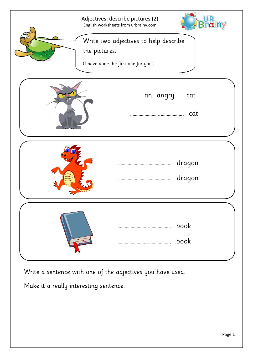| Adjectives: describe pictures (2)<br>English worksheets from urbrainy.com<br>Write two adjectives to help describe<br>the pictures.<br>(I have done the first one for you.) |
|-----------------------------------------------------------------------------------------------------------------------------------------------------------------------------|
| an angry<br>cat<br>cat                                                                                                                                                      |
| dragon<br>dragon                                                                                                                                                            |
| book<br>book                                                                                                                                                                |

………………………………………………………………………………………………………………………………………………………………………………………………………………………………………..

………………………………………………………………………………………………………………………………………………………………………………………………………………………………………..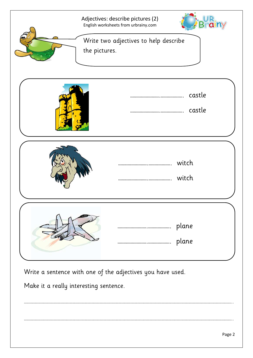| Adjectives: describe pictures (2)<br>English worksheets from urbrainy.com<br>Write two adjectives to help describe<br>the pictures. |
|-------------------------------------------------------------------------------------------------------------------------------------|
| castle<br>castle                                                                                                                    |
| witch<br>witch                                                                                                                      |
| plane<br>plane                                                                                                                      |

………………………………………………………………………………………………………………………………………………………………………………………………………………………………………..

………………………………………………………………………………………………………………………………………………………………………………………………………………………………………..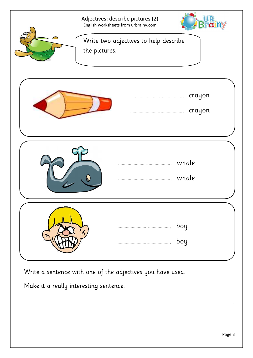| Adjectives: describe pictures (2)<br>English worksheets from urbrainy.com<br>the pictures. | Write two adjectives to help describe |                  |
|--------------------------------------------------------------------------------------------|---------------------------------------|------------------|
|                                                                                            |                                       | crayon<br>crayon |
|                                                                                            |                                       | whale<br>whale   |
|                                                                                            |                                       | boy<br>boy       |

………………………………………………………………………………………………………………………………………………………………………………………………………………………………………..

………………………………………………………………………………………………………………………………………………………………………………………………………………………………………..